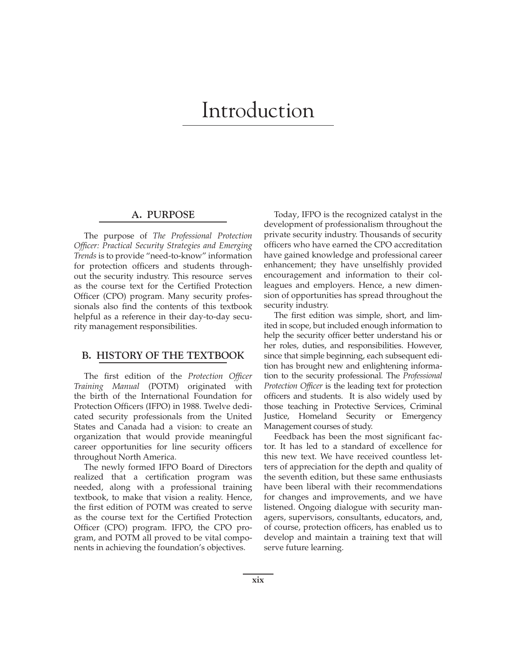# Introduction

# **A. PURPOSE**

 The purpose of *The Professional Protection Offi cer: Practical Security Strategies and Emerging Trends* is to provide " need-to-know " information for protection officers and students throughout the security industry. This resource serves as the course text for the Certified Protection Officer (CPO) program. Many security professionals also find the contents of this textbook helpful as a reference in their day-to-day security management responsibilities.

# **B. HISTORY OF THE TEXTBOOK**

The first edition of the *Protection Officer Training Manual* (POTM) originated with the birth of the International Foundation for Protection Officers (IFPO) in 1988. Twelve dedicated security professionals from the United States and Canada had a vision: to create an organization that would provide meaningful career opportunities for line security officers throughout North America.

 The newly formed IFPO Board of Directors realized that a certification program was needed, along with a professional training textbook, to make that vision a reality. Hence, the first edition of POTM was created to serve as the course text for the Certified Protection Officer (CPO) program. IFPO, the CPO program, and POTM all proved to be vital components in achieving the foundation's objectives.

Today, IFPO is the recognized catalyst in the development of professionalism throughout the private security industry. Thousands of security officers who have earned the CPO accreditation have gained knowledge and professional career enhancement; they have unselfishly provided encouragement and information to their colleagues and employers. Hence, a new dimension of opportunities has spread throughout the security industry.

The first edition was simple, short, and limited in scope, but included enough information to help the security officer better understand his or her roles, duties, and responsibilities. However, since that simple beginning, each subsequent edition has brought new and enlightening information to the security professional. The *Professional Protection Officer* is the leading text for protection officers and students. It is also widely used by those teaching in Protective Services, Criminal Justice, Homeland Security or Emergency Management courses of study.

Feedback has been the most significant factor. It has led to a standard of excellence for this new text. We have received countless letters of appreciation for the depth and quality of the seventh edition, but these same enthusiasts have been liberal with their recommendations for changes and improvements, and we have listened. Ongoing dialogue with security managers, supervisors, consultants, educators, and, of course, protection officers, has enabled us to develop and maintain a training text that will serve future learning.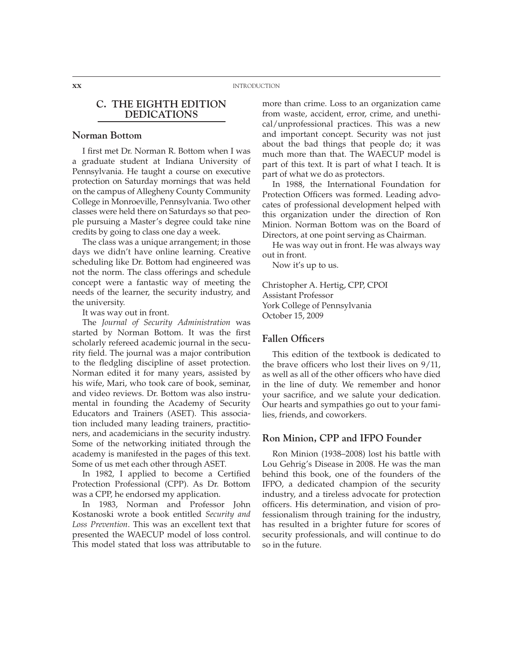# **C. THE EIGHTH EDITION DEDICATIONS**

# **Norman Bottom**

I first met Dr. Norman R. Bottom when I was a graduate student at Indiana University of Pennsylvania. He taught a course on executive protection on Saturday mornings that was held on the campus of Allegheny County Community College in Monroeville, Pennsylvania. Two other classes were held there on Saturdays so that people pursuing a Master's degree could take nine credits by going to class one day a week.

 The class was a unique arrangement; in those days we didn't have online learning. Creative scheduling like Dr. Bottom had engineered was not the norm. The class offerings and schedule concept were a fantastic way of meeting the needs of the learner, the security industry, and the university.

It was way out in front.

 The *Journal of Security Administration* was started by Norman Bottom. It was the first scholarly refereed academic journal in the security field. The journal was a major contribution to the fledgling discipline of asset protection. Norman edited it for many years, assisted by his wife, Mari, who took care of book, seminar, and video reviews. Dr. Bottom was also instrumental in founding the Academy of Security Educators and Trainers (ASET). This association included many leading trainers, practitioners, and academicians in the security industry. Some of the networking initiated through the academy is manifested in the pages of this text. Some of us met each other through ASET.

In 1982, I applied to become a Certified Protection Professional (CPP). As Dr. Bottom was a CPP, he endorsed my application.

 In 1983, Norman and Professor John Kostanoski wrote a book entitled *Security and*  Loss Prevention. This was an excellent text that presented the WAECUP model of loss control. This model stated that loss was attributable to

more than crime. Loss to an organization came from waste, accident, error, crime, and unethical/unprofessional practices. This was a new and important concept. Security was not just about the bad things that people do; it was much more than that. The WAECUP model is part of this text. It is part of what I teach. It is part of what we do as protectors.

 In 1988, the International Foundation for Protection Officers was formed. Leading advocates of professional development helped with this organization under the direction of Ron Minion. Norman Bottom was on the Board of Directors, at one point serving as Chairman.

 He was way out in front. He was always way out in front.

Now it's up to us.

 Christopher A. Hertig, CPP, CPOI Assistant Professor York College of Pennsylvania October 15, 2009

# **Fallen Officers**

 This edition of the textbook is dedicated to the brave officers who lost their lives on  $9/11$ . as well as all of the other officers who have died in the line of duty. We remember and honor your sacrifice, and we salute your dedication. Our hearts and sympathies go out to your families, friends, and coworkers.

# **Ron Minion, CPP and IFPO Founder**

Ron Minion (1938-2008) lost his battle with Lou Gehrig's Disease in 2008. He was the man behind this book, one of the founders of the IFPO, a dedicated champion of the security industry, and a tireless advocate for protection officers. His determination, and vision of professionalism through training for the industry, has resulted in a brighter future for scores of security professionals, and will continue to do so in the future.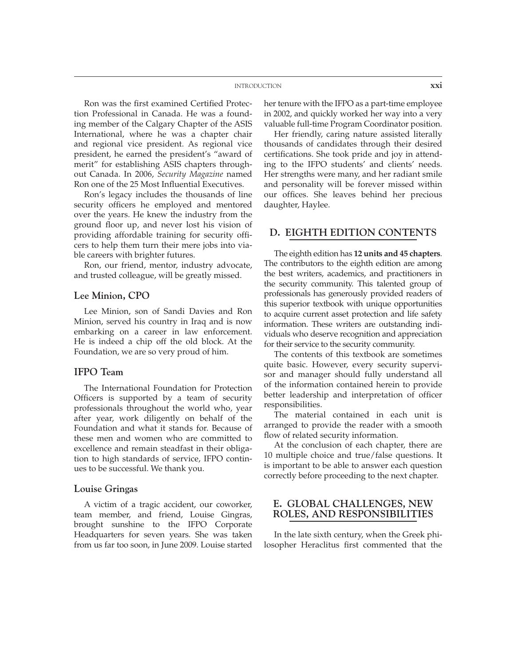#### INTRODUCTION **xxi**

Ron was the first examined Certified Protection Professional in Canada. He was a founding member of the Calgary Chapter of the ASIS International, where he was a chapter chair and regional vice president. As regional vice president, he earned the president's " award of merit" for establishing ASIS chapters throughout Canada. In 2006, *Security Magazine* named Ron one of the 25 Most Influential Executives.

 Ron 's legacy includes the thousands of line security officers he employed and mentored over the years. He knew the industry from the ground floor up, and never lost his vision of providing affordable training for security officers to help them turn their mere jobs into viable careers with brighter futures.

Ron, our friend, mentor, industry advocate, and trusted colleague, will be greatly missed.

# **Lee Minion, CPO**

 Lee Minion, son of Sandi Davies and Ron Minion, served his country in Iraq and is now embarking on a career in law enforcement. He is indeed a chip off the old block. At the Foundation, we are so very proud of him.

### **IFPO Team**

 The International Foundation for Protection Officers is supported by a team of security professionals throughout the world who, year after year, work diligently on behalf of the Foundation and what it stands for. Because of these men and women who are committed to excellence and remain steadfast in their obligation to high standards of service, IFPO continues to be successful. We thank you.

## **Louise Gringas**

 A victim of a tragic accident, our coworker, team member, and friend, Louise Gingras, brought sunshine to the IFPO Corporate Headquarters for seven years. She was taken from us far too soon, in June 2009. Louise started her tenure with the IFPO as a part-time employee in 2002, and quickly worked her way into a very valuable full-time Program Coordinator position.

 Her friendly, caring nature assisted literally thousands of candidates through their desired certifications. She took pride and joy in attending to the IFPO students' and clients' needs. Her strengths were many, and her radiant smile and personality will be forever missed within our offices. She leaves behind her precious daughter, Haylee.

# **D. EIGHTH EDITION CONTENTS**

 The eighth edition has **12 units and 45 chapters** . The contributors to the eighth edition are among the best writers, academics, and practitioners in the security community. This talented group of professionals has generously provided readers of this superior textbook with unique opportunities to acquire current asset protection and life safety information. These writers are outstanding individuals who deserve recognition and appreciation for their service to the security community.

 The contents of this textbook are sometimes quite basic. However, every security supervisor and manager should fully understand all of the information contained herein to provide better leadership and interpretation of officer responsibilities.

 The material contained in each unit is arranged to provide the reader with a smooth flow of related security information.

 At the conclusion of each chapter, there are 10 multiple choice and true/false questions. It is important to be able to answer each question correctly before proceeding to the next chapter.

# **E. GLOBAL CHALLENGES, NEW ROLES, AND RESPONSIBILITIES**

 In the late sixth century, when the Greek philosopher Heraclitus first commented that the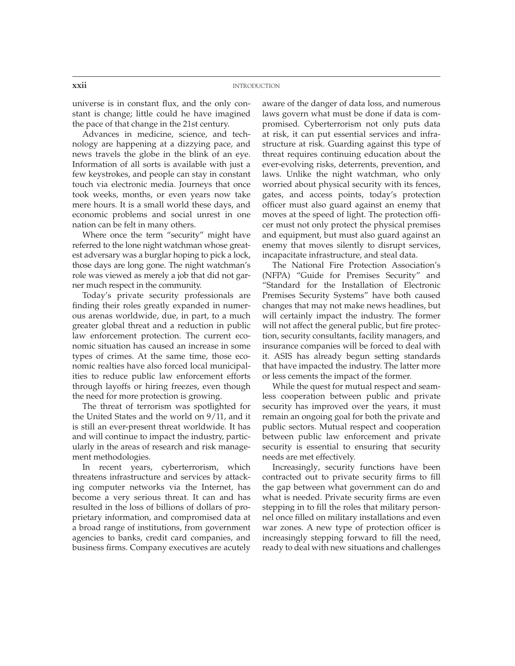universe is in constant flux, and the only constant is change; little could he have imagined the pace of that change in the 21st century.

 Advances in medicine, science, and technology are happening at a dizzying pace, and news travels the globe in the blink of an eye. Information of all sorts is available with just a few keystrokes, and people can stay in constant touch via electronic media. Journeys that once took weeks, months, or even years now take mere hours. It is a small world these days, and economic problems and social unrest in one nation can be felt in many others.

Where once the term "security" might have referred to the lone night watchman whose greatest adversary was a burglar hoping to pick a lock, those days are long gone. The night watchman's role was viewed as merely a job that did not garner much respect in the community.

Today's private security professionals are finding their roles greatly expanded in numerous arenas worldwide, due, in part, to a much greater global threat and a reduction in public law enforcement protection. The current economic situation has caused an increase in some types of crimes. At the same time, those economic realties have also forced local municipalities to reduce public law enforcement efforts through layoffs or hiring freezes, even though the need for more protection is growing.

 The threat of terrorism was spotlighted for the United States and the world on 9/11, and it is still an ever-present threat worldwide. It has and will continue to impact the industry, particularly in the areas of research and risk management methodologies.

 In recent years, cyberterrorism, which threatens infrastructure and services by attacking computer networks via the Internet, has become a very serious threat. It can and has resulted in the loss of billions of dollars of proprietary information, and compromised data at a broad range of institutions, from government agencies to banks, credit card companies, and business firms. Company executives are acutely

aware of the danger of data loss, and numerous laws govern what must be done if data is compromised. Cyberterrorism not only puts data at risk, it can put essential services and infrastructure at risk. Guarding against this type of threat requires continuing education about the ever-evolving risks, deterrents, prevention, and laws. Unlike the night watchman, who only worried about physical security with its fences, gates, and access points, today's protection officer must also guard against an enemy that moves at the speed of light. The protection officer must not only protect the physical premises and equipment, but must also guard against an enemy that moves silently to disrupt services, incapacitate infrastructure, and steal data.

 The National Fire Protection Association's (NFPA) "Guide for Premises Security" and " Standard for the Installation of Electronic Premises Security Systems" have both caused changes that may not make news headlines, but will certainly impact the industry. The former will not affect the general public, but fire protection, security consultants, facility managers, and insurance companies will be forced to deal with it. ASIS has already begun setting standards that have impacted the industry. The latter more or less cements the impact of the former.

 While the quest for mutual respect and seamless cooperation between public and private security has improved over the years, it must remain an ongoing goal for both the private and public sectors. Mutual respect and cooperation between public law enforcement and private security is essential to ensuring that security needs are met effectively.

Increasingly, security functions have been contracted out to private security firms to fill the gap between what government can do and what is needed. Private security firms are even stepping in to fill the roles that military personnel once filled on military installations and even war zones. A new type of protection officer is increasingly stepping forward to fill the need, ready to deal with new situations and challenges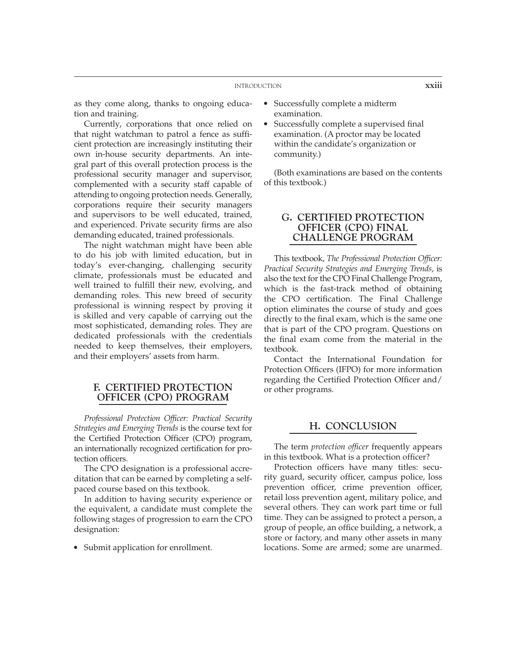#### INTRODUCTION **xxiii**

as they come along, thanks to ongoing education and training.

 Currently, corporations that once relied on that night watchman to patrol a fence as sufficient protection are increasingly instituting their own in-house security departments. An integral part of this overall protection process is the professional security manager and supervisor, complemented with a security staff capable of attending to ongoing protection needs. Generally, corporations require their security managers and supervisors to be well educated, trained, and experienced. Private security firms are also demanding educated, trained professionals.

 The night watchman might have been able to do his job with limited education, but in today's ever-changing, challenging security climate, professionals must be educated and well trained to fulfill their new, evolving, and demanding roles. This new breed of security professional is winning respect by proving it is skilled and very capable of carrying out the most sophisticated, demanding roles. They are dedicated professionals with the credentials needed to keep themselves, their employers, and their employers' assets from harm.

# **F. CERTIFIED PROTECTION OFFICER (CPO) PROGRAM**

*Professional Protection Officer: Practical Security Strategies and Emerging Trends* is the course text for the Certified Protection Officer (CPO) program, an internationally recognized certification for protection officers.

 The CPO designation is a professional accreditation that can be earned by completing a selfpaced course based on this textbook.

 In addition to having security experience or the equivalent, a candidate must complete the following stages of progression to earn the CPO designation:

• Submit application for enrollment.

- Successfully complete a midterm examination.
- Successfully complete a supervised final examination. (A proctor may be located within the candidate's organization or community.)

 (Both examinations are based on the contents of this textbook.)

# **G. CERTIFIED PROTECTION OFFICER (CPO) FINAL CHALLENGE PROGRAM**

This textbook, The Professional Protection Officer: *Practical Security Strategies and Emerging Trends* , is also the text for the CPO Final Challenge Program, which is the fast-track method of obtaining the CPO certification. The Final Challenge option eliminates the course of study and goes directly to the final exam, which is the same one that is part of the CPO program. Questions on the final exam come from the material in the textbook.

 Contact the International Foundation for Protection Officers (IFPO) for more information regarding the Certified Protection Officer and/ or other programs.

# **H. CONCLUSION**

The term *protection officer* frequently appears in this textbook. What is a protection officer?

Protection officers have many titles: security guard, security officer, campus police, loss prevention officer, crime prevention officer, retail loss prevention agent, military police, and several others. They can work part time or full time. They can be assigned to protect a person, a group of people, an office building, a network, a store or factory, and many other assets in many locations. Some are armed; some are unarmed.